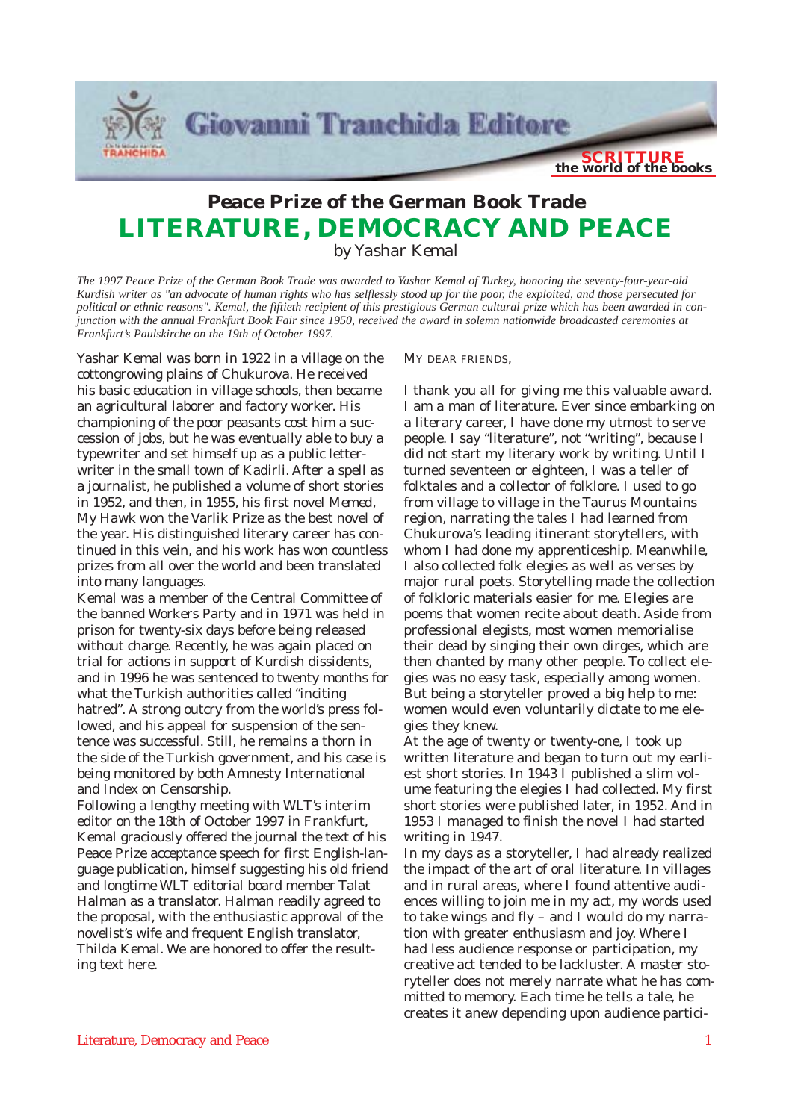

## **Peace Prize of the German Book Trade LITERATURE, DEMOCRACY AND PEACE**

*by Yashar Kemal*

*The 1997 Peace Prize of the German Book Trade was awarded to Yashar Kemal of Turkey, honoring the seventy-four-year-old Kurdish writer as "an advocate of human rights who has selflessly stood up for the poor, the exploited, and those persecuted for* political or ethnic reasons". Kemal, the fiftieth recipient of this prestigious German cultural prize which has been awarded in con*junction with the annual Frankfurt Book Fair since 1950, received the award in solemn nationwide broadcasted ceremonies at Frankfurt's Paulskirche on the 19th of October 1997.*

Yashar Kemal was born in 1922 in a village on the cottongrowing plains of Chukurova. He received his basic education in village schools, then became an agricultural laborer and factory worker. His championing of the poor peasants cost him a succession of jobs, but he was eventually able to buy a typewriter and set himself up as a public letterwriter in the small town of Kadirli. After a spell as a journalist, he published a volume of short stories in 1952, and then, in 1955, his first novel *Memed, My Hawk* won the Varlik Prize as the best novel of the year. His distinguished literary career has continued in this vein, and his work has won countless prizes from all over the world and been translated into many languages.

Kemal was a member of the Central Committee of the banned Workers Party and in 1971 was held in prison for twenty-six days before being released without charge. Recently, he was again placed on trial for actions in support of Kurdish dissidents, and in 1996 he was sentenced to twenty months for what the Turkish authorities called "inciting hatred". A strong outcry from the world's press followed, and his appeal for suspension of the sentence was successful. Still, he remains a thorn in the side of the Turkish government, and his case is being monitored by both Amnesty International and Index on Censorship.

Following a lengthy meeting with WLT's interim editor on the 18th of October 1997 in Frankfurt, Kemal graciously offered the journal the text of his Peace Prize acceptance speech for first English-language publication, himself suggesting his old friend and longtime WLT editorial board member Talat Halman as a translator. Halman readily agreed to the proposal, with the enthusiastic approval of the novelist's wife and frequent English translator, Thilda Kemal. We are honored to offer the resulting text here.

MY DEAR FRIENDS,

I thank you all for giving me this valuable award. I am a man of literature. Ever since embarking on a literary career, I have done my utmost to serve people. I say "literature", not "writing", because I did not start my literary work by writing. Until I turned seventeen or eighteen, I was a teller of folktales and a collector of folklore. I used to go from village to village in the Taurus Mountains region, narrating the tales I had learned from Chukurova's leading itinerant storytellers, with whom I had done my apprenticeship. Meanwhile, I also collected folk elegies as well as verses by major rural poets. Storytelling made the collection of folkloric materials easier for me. Elegies are poems that women recite about death. Aside from professional elegists, most women memorialise their dead by singing their own dirges, which are then chanted by many other people. To collect elegies was no easy task, especially among women. But being a storyteller proved a big help to me: women would even voluntarily dictate to me elegies they knew.

At the age of twenty or twenty-one, I took up written literature and began to turn out my earliest short stories. In 1943 I published a slim volume featuring the elegies I had collected. My first short stories were published later, in 1952. And in 1953 I managed to finish the novel I had started writing in 1947.

In my days as a storyteller, I had already realized the impact of the art of oral literature. In villages and in rural areas, where I found attentive audiences willing to join me in my act, my words used to take wings and fly – and I would do my narration with greater enthusiasm and joy. Where I had less audience response or participation, my creative act tended to be lackluster. A master storyteller does not merely narrate what he has committed to memory. Each time he tells a tale, he creates it anew depending upon audience partici-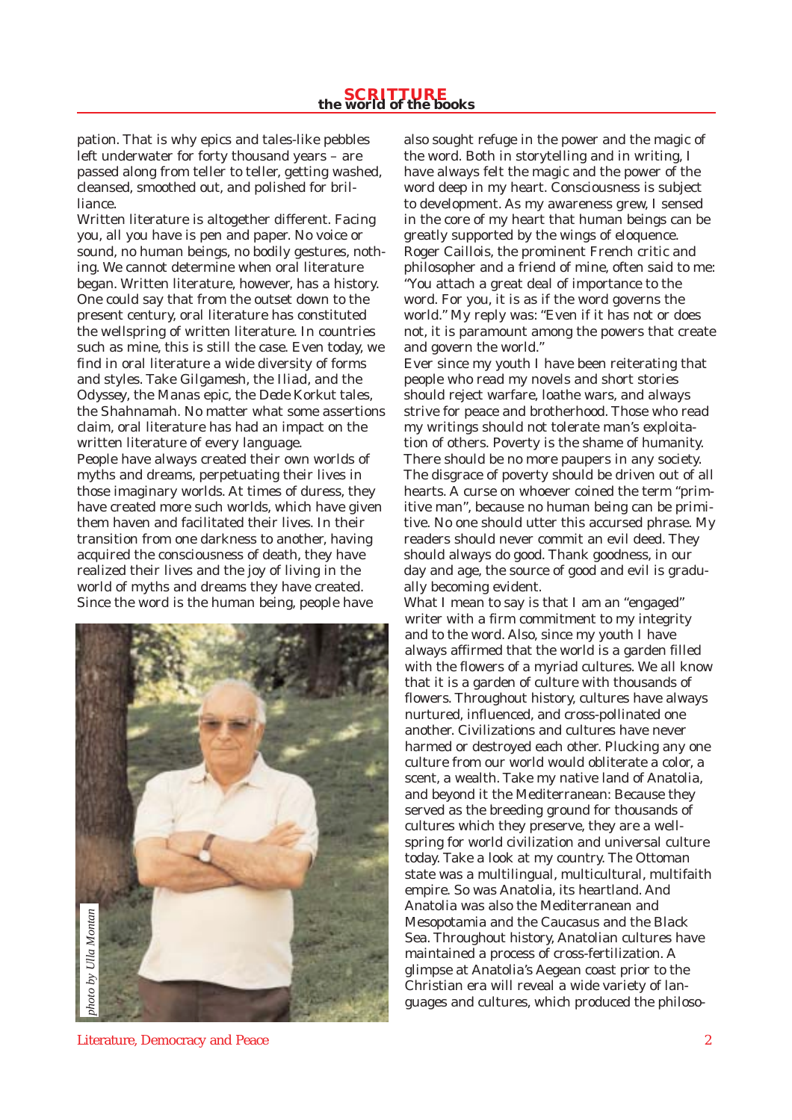## **SCRITTURE the world of the books**

pation. That is why epics and tales-like pebbles left underwater for forty thousand years – are passed along from teller to teller, getting washed, cleansed, smoothed out, and polished for brilliance.

Written literature is altogether different. Facing you, all you have is pen and paper. No voice or sound, no human beings, no bodily gestures, nothing. We cannot determine when oral literature began. Written literature, however, has a history. One could say that from the outset down to the present century, oral literature has constituted the wellspring of written literature. In countries such as mine, this is still the case. Even today, we find in oral literature a wide diversity of forms and styles. Take *Gilgamesh*, the *Iliad*, and the *Odyssey*, the *Manas* epic, the *Dede Korkut* tales, the *Shahnamah*. No matter what some assertions claim, oral literature has had an impact on the written literature of every language. People have always created their own worlds of myths and dreams, perpetuating their lives in those imaginary worlds. At times of duress, they have created more such worlds, which have given them haven and facilitated their lives. In their transition from one darkness to another, having acquired the consciousness of death, they have realized their lives and the joy of living in the world of myths and dreams they have created. Since the word is the human being, people have



also sought refuge in the power and the magic of the word. Both in storytelling and in writing, I have always felt the magic and the power of the word deep in my heart. Consciousness is subject to development. As my awareness grew, I sensed in the core of my heart that human beings can be greatly supported by the wings of eloquence. Roger Caillois, the prominent French critic and philosopher and a friend of mine, often said to me: "You attach a great deal of importance to the word. For you, it is as if the word governs the world." My reply was: "Even if it has not or does not, it is paramount among the powers that create and govern the world."

Ever since my youth I have been reiterating that people who read my novels and short stories should reject warfare, loathe wars, and always strive for peace and brotherhood. Those who read my writings should not tolerate man's exploitation of others. Poverty is the shame of humanity. There should be no more paupers in any society. The disgrace of poverty should be driven out of all hearts. A curse on whoever coined the term "primitive man", because no human being can be primitive. No one should utter this accursed phrase. My readers should never commit an evil deed. They should always do good. Thank goodness, in our day and age, the source of good and evil is gradually becoming evident.

What I mean to say is that I am an "engaged" writer with a firm commitment to my integrity and to the word. Also, since my youth I have always affirmed that the world is a garden filled with the flowers of a myriad cultures. We all know that it is a garden of culture with thousands of flowers. Throughout history, cultures have always nurtured, influenced, and cross-pollinated one another. Civilizations and cultures have never harmed or destroyed each other. Plucking any one culture from our world would obliterate a color, a scent, a wealth. Take my native land of Anatolia, and beyond it the Mediterranean: Because they served as the breeding ground for thousands of cultures which they preserve, they are a wellspring for world civilization and universal culture today. Take a look at my country. The Ottoman state was a multilingual, multicultural, multifaith empire. So was Anatolia, its heartland. And Anatolia was also the Mediterranean and Mesopotamia and the Caucasus and the Black Sea. Throughout history, Anatolian cultures have maintained a process of cross-fertilization. A glimpse at Anatolia's Aegean coast prior to the Christian era will reveal a wide variety of languages and cultures, which produced the philoso